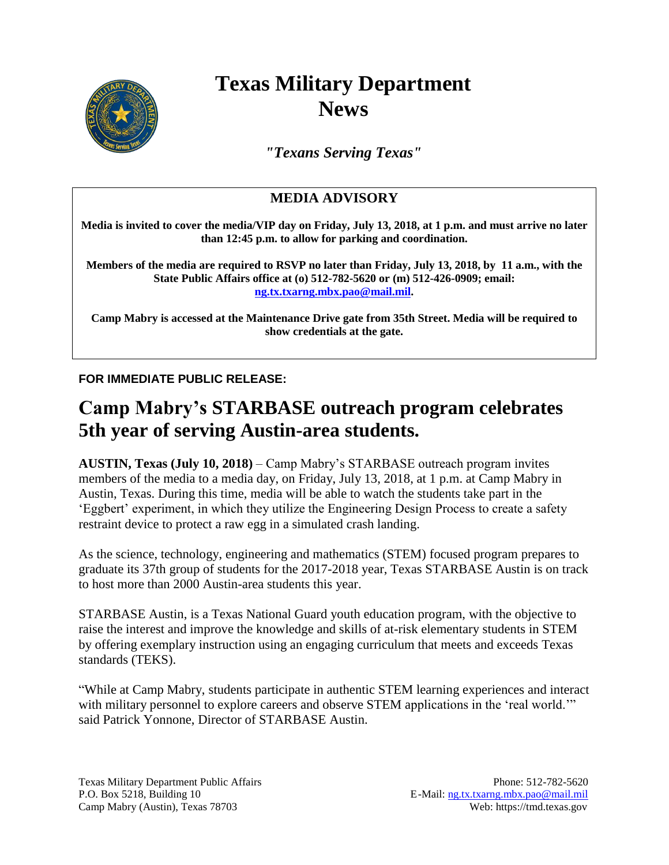

## **Texas Military Department News**

*"Texans Serving Texas"*

## **MEDIA ADVISORY**

**Media is invited to cover the media/VIP day on Friday, July 13, 2018, at 1 p.m. and must arrive no later than 12:45 p.m. to allow for parking and coordination.** 

**Members of the media are required to RSVP no later than Friday, July 13, 2018, by 11 a.m., with the State Public Affairs office at (o) 512-782-5620 or (m) 512-426-0909; email: [ng.tx.txarng.mbx.pao@mail.mil.](mailto:ng.tx.txarng.mbx.pao@mail.mil)**

**Camp Mabry is accessed at the Maintenance Drive gate from 35th Street. Media will be required to show credentials at the gate.**

**FOR IMMEDIATE PUBLIC RELEASE:**

## **Camp Mabry's STARBASE outreach program celebrates 5th year of serving Austin-area students.**

**AUSTIN, Texas (July 10, 2018)** – Camp Mabry's STARBASE outreach program invites members of the media to a media day, on Friday, July 13, 2018, at 1 p.m. at Camp Mabry in Austin, Texas. During this time, media will be able to watch the students take part in the 'Eggbert' experiment, in which they utilize the Engineering Design Process to create a safety restraint device to protect a raw egg in a simulated crash landing.

As the science, technology, engineering and mathematics (STEM) focused program prepares to graduate its 37th group of students for the 2017-2018 year, Texas STARBASE Austin is on track to host more than 2000 Austin-area students this year.

STARBASE Austin, is a Texas National Guard youth education program, with the objective to raise the interest and improve the knowledge and skills of at-risk elementary students in STEM by offering exemplary instruction using an engaging curriculum that meets and exceeds Texas standards (TEKS).

"While at Camp Mabry, students participate in authentic STEM learning experiences and interact with military personnel to explore careers and observe STEM applications in the 'real world.'" said Patrick Yonnone, Director of STARBASE Austin.